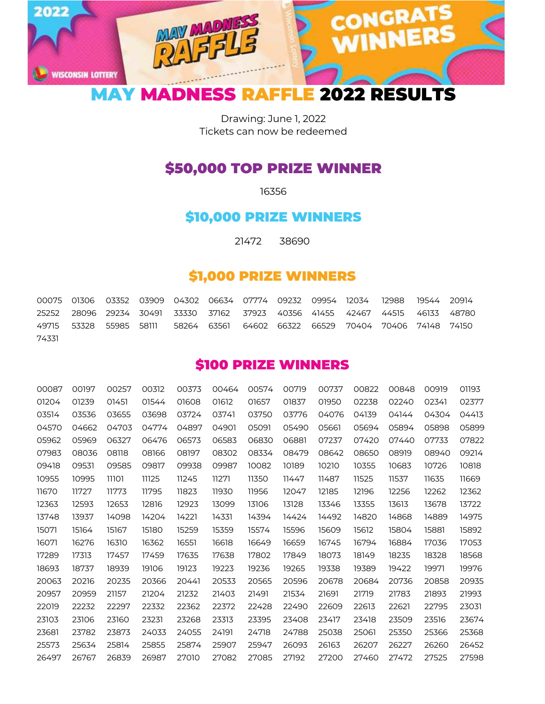

Drawing: June 1, 2022 Tickets can now be redeemed

## \$50,000 TOP PRIZE WINNER

## \$10,000 PRIZE WINNERS

21472 38690

## \$1,000 PRIZE WINNERS

 01306 03352 03909 04302 06634 07774 09232 09954 12034 12988 19544 20914 28096 29234 30491 33330 37162 37923 40356 41455 42467 44515 46133 48780 53328 55985 58111 58264 63561 64602 66322 66529 70404 70406 74148 74150 

## \$100 PRIZE WINNERS

| 00087 | 00197 | 00257 | 00312 | 00373 | 00464 | 00574 | 00719 | 00737 | 00822 | 00848 | 00919 | 01193 |
|-------|-------|-------|-------|-------|-------|-------|-------|-------|-------|-------|-------|-------|
| 01204 | 01239 | 01451 | 01544 | 01608 | 01612 | 01657 | 01837 | 01950 | 02238 | 02240 | 02341 | 02377 |
| 03514 | 03536 | 03655 | 03698 | 03724 | 03741 | 03750 | 03776 | 04076 | 04139 | 04144 | 04304 | 04413 |
| 04570 | 04662 | 04703 | 04774 | 04897 | 04901 | 05091 | 05490 | 05661 | 05694 | 05894 | 05898 | 05899 |
| 05962 | 05969 | 06327 | 06476 | 06573 | 06583 | 06830 | 06881 | 07237 | 07420 | 07440 | 07733 | 07822 |
| 07983 | 08036 | 08118 | 08166 | 08197 | 08302 | 08334 | 08479 | 08642 | 08650 | 08919 | 08940 | 09214 |
| 09418 | 09531 | 09585 | 09817 | 09938 | 09987 | 10082 | 10189 | 10210 | 10355 | 10683 | 10726 | 10818 |
| 10955 | 10995 | 11101 | 11125 | 11245 | 11271 | 11350 | 11447 | 11487 | 11525 | 11537 | 11635 | 11669 |
| 11670 | 11727 | 11773 | 11795 | 11823 | 11930 | 11956 | 12047 | 12185 | 12196 | 12256 | 12262 | 12362 |
| 12363 | 12593 | 12653 | 12816 | 12923 | 13099 | 13106 | 13128 | 13346 | 13355 | 13613 | 13678 | 13722 |
| 13748 | 13937 | 14098 | 14204 | 14221 | 14331 | 14394 | 14424 | 14492 | 14820 | 14868 | 14889 | 14975 |
| 15071 | 15164 | 15167 | 15180 | 15259 | 15359 | 15574 | 15596 | 15609 | 15612 | 15804 | 15881 | 15892 |
| 16071 | 16276 | 16310 | 16362 | 16551 | 16618 | 16649 | 16659 | 16745 | 16794 | 16884 | 17036 | 17053 |
| 17289 | 17313 | 17457 | 17459 | 17635 | 17638 | 17802 | 17849 | 18073 | 18149 | 18235 | 18328 | 18568 |
| 18693 | 18737 | 18939 | 19106 | 19123 | 19223 | 19236 | 19265 | 19338 | 19389 | 19422 | 19971 | 19976 |
| 20063 | 20216 | 20235 | 20366 | 20441 | 20533 | 20565 | 20596 | 20678 | 20684 | 20736 | 20858 | 20935 |
| 20957 | 20959 | 21157 | 21204 | 21232 | 21403 | 21491 | 21534 | 21691 | 21719 | 21783 | 21893 | 21993 |
| 22019 | 22232 | 22297 | 22332 | 22362 | 22372 | 22428 | 22490 | 22609 | 22613 | 22621 | 22795 | 23031 |
| 23103 | 23106 | 23160 | 23231 | 23268 | 23313 | 23395 | 23408 | 23417 | 23418 | 23509 | 23516 | 23674 |
| 23681 | 23782 | 23873 | 24033 | 24055 | 24191 | 24718 | 24788 | 25038 | 25061 | 25350 | 25366 | 25368 |
| 25573 | 25634 | 25814 | 25855 | 25874 | 25907 | 25947 | 26093 | 26163 | 26207 | 26227 | 26260 | 26452 |
| 26497 | 26767 | 26839 | 26987 | 27010 | 27082 | 27085 | 27192 | 27200 | 27460 | 27472 | 27525 | 27598 |